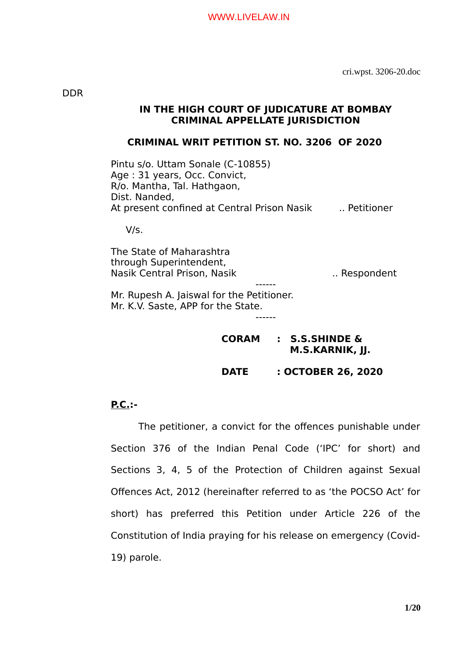DDR

# **IN THE HIGH COURT OF JUDICATURE AT BOMBAY CRIMINAL APPELLATE JURISDICTION**

# **CRIMINAL WRIT PETITION ST. NO. 3206 OF 2020**

Pintu s/o. Uttam Sonale (C-10855) Age : 31 years, Occ. Convict, R/o. Mantha, Tal. Hathgaon, Dist. Nanded, At present confined at Central Prison Nasik ... Petitioner

V/s.

The State of Maharashtra through Superintendent, Nasik Central Prison, Nasik .. Respondent ------

------

Mr. Rupesh A. Jaiswal for the Petitioner. Mr. K.V. Saste, APP for the State.

> **CORAM : S.S.SHINDE & M.S.KARNIK, JJ.**

**DATE : OCTOBER 26, 2020**

**P.C.:-**

The petitioner, a convict for the offences punishable under Section 376 of the Indian Penal Code ('IPC' for short) and Sections 3, 4, 5 of the Protection of Children against Sexual Ofences Act, 2012 (hereinafter referred to as 'the POCSO Act' for short) has preferred this Petition under Article 226 of the Constitution of India praying for his release on emergency (Covid-19) parole.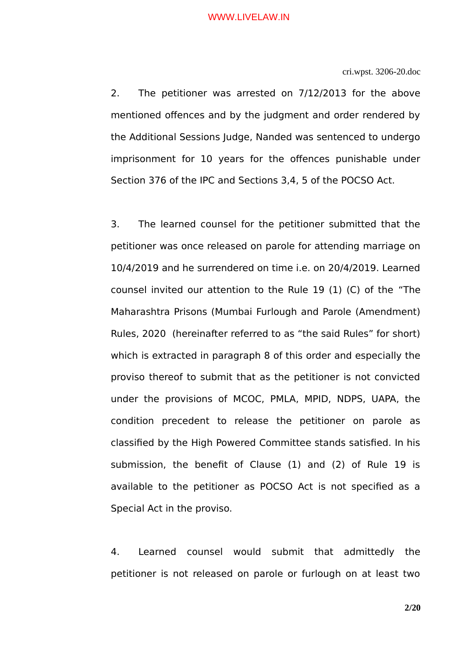cri.wpst. 3206-20.doc

2. The petitioner was arrested on 7/12/2013 for the above mentioned offences and by the judgment and order rendered by the Additional Sessions Judge, Nanded was sentenced to undergo imprisonment for 10 years for the offences punishable under Section 376 of the IPC and Sections 3,4, 5 of the POCSO Act.

3. The learned counsel for the petitioner submitted that the petitioner was once released on parole for attending marriage on 10/4/2019 and he surrendered on time i.e. on 20/4/2019. Learned counsel invited our attention to the Rule 19 (1) (C) of the "The Maharashtra Prisons (Mumbai Furlough and Parole (Amendment) Rules, 2020 (hereinafter referred to as "the said Rules" for short) which is extracted in paragraph 8 of this order and especially the proviso thereof to submit that as the petitioner is not convicted under the provisions of MCOC, PMLA, MPID, NDPS, UAPA, the condition precedent to release the petitioner on parole as classifed by the High Powered Committee stands satisfed. In his submission, the beneft of Clause (1) and (2) of Rule 19 is available to the petitioner as POCSO Act is not specifed as a Special Act in the proviso.

4. Learned counsel would submit that admittedly the petitioner is not released on parole or furlough on at least two

**2/20**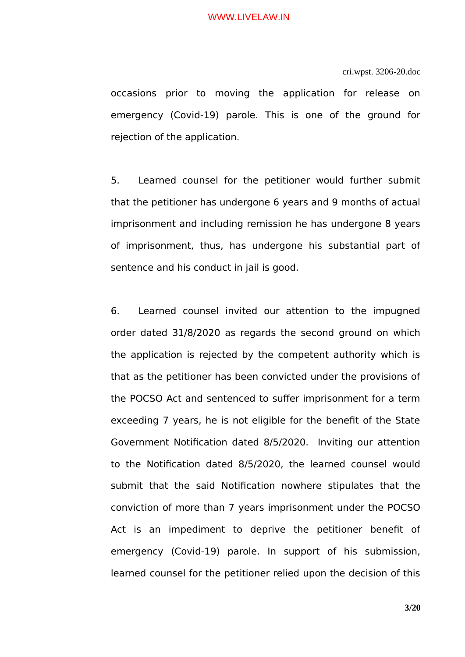occasions prior to moving the application for release on emergency (Covid-19) parole. This is one of the ground for rejection of the application.

5. Learned counsel for the petitioner would further submit that the petitioner has undergone 6 years and 9 months of actual imprisonment and including remission he has undergone 8 years of imprisonment, thus, has undergone his substantial part of sentence and his conduct in jail is good.

6. Learned counsel invited our attention to the impugned order dated 31/8/2020 as regards the second ground on which the application is rejected by the competent authority which is that as the petitioner has been convicted under the provisions of the POCSO Act and sentenced to suffer imprisonment for a term exceeding 7 years, he is not eligible for the beneft of the State Government Notifcation dated 8/5/2020. Inviting our attention to the Notifcation dated 8/5/2020, the learned counsel would submit that the said Notifcation nowhere stipulates that the conviction of more than 7 years imprisonment under the POCSO Act is an impediment to deprive the petitioner benefit of emergency (Covid-19) parole. In support of his submission, learned counsel for the petitioner relied upon the decision of this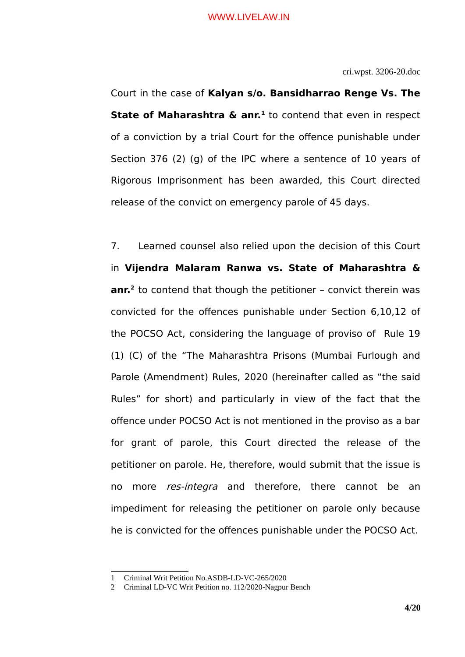Court in the case of **Kalyan s/o. Bansidharrao Renge Vs. The State of Maharashtra & anr.[1](#page-3-0)** to contend that even in respect of a conviction by a trial Court for the offence punishable under Section 376 (2) (g) of the IPC where a sentence of 10 years of Rigorous Imprisonment has been awarded, this Court directed release of the convict on emergency parole of 45 days.

7. Learned counsel also relied upon the decision of this Court in **Vijendra Malaram Ranwa vs. State of Maharashtra & anr.[2](#page-3-1)** to contend that though the petitioner – convict therein was convicted for the offences punishable under Section 6,10,12 of the POCSO Act, considering the language of proviso of Rule 19 (1) (C) of the "The Maharashtra Prisons (Mumbai Furlough and Parole (Amendment) Rules, 2020 (hereinafter called as "the said Rules" for short) and particularly in view of the fact that the ofence under POCSO Act is not mentioned in the proviso as a bar for grant of parole, this Court directed the release of the petitioner on parole. He, therefore, would submit that the issue is no more *res-integra* and therefore, there cannot be an impediment for releasing the petitioner on parole only because he is convicted for the offences punishable under the POCSO Act.

<span id="page-3-0"></span><sup>1</sup> Criminal Writ Petition No.ASDB-LD-VC-265/2020

<span id="page-3-1"></span><sup>2</sup> Criminal LD-VC Writ Petition no. 112/2020-Nagpur Bench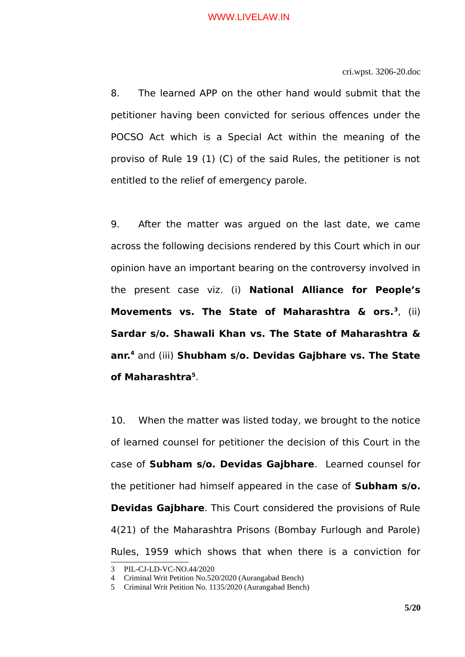cri.wpst. 3206-20.doc

8. The learned APP on the other hand would submit that the petitioner having been convicted for serious ofences under the POCSO Act which is a Special Act within the meaning of the proviso of Rule 19 (1) (C) of the said Rules, the petitioner is not entitled to the relief of emergency parole.

9. After the matter was argued on the last date, we came across the following decisions rendered by this Court which in our opinion have an important bearing on the controversy involved in the present case viz. (i) **National Alliance for People's Movements vs. The State of Maharashtra & ors.[3](#page-4-0)** , (ii) **Sardar s/o. Shawali Khan vs. The State of Maharashtra & anr.[4](#page-4-1)** and (iii) **Shubham s/o. Devidas Gajbhare vs. The State of Maharashtra[5](#page-4-2)** .

10. When the matter was listed today, we brought to the notice of learned counsel for petitioner the decision of this Court in the case of **Subham s/o. Devidas Gajbhare**. Learned counsel for the petitioner had himself appeared in the case of **Subham s/o. Devidas Gajbhare**. This Court considered the provisions of Rule 4(21) of the Maharashtra Prisons (Bombay Furlough and Parole) Rules, 1959 which shows that when there is a conviction for

<span id="page-4-0"></span><sup>3</sup> PIL-CJ-LD-VC-NO.44/2020

<span id="page-4-1"></span><sup>4</sup> Criminal Writ Petition No.520/2020 (Aurangabad Bench)

<span id="page-4-2"></span><sup>5</sup> Criminal Writ Petition No. 1135/2020 (Aurangabad Bench)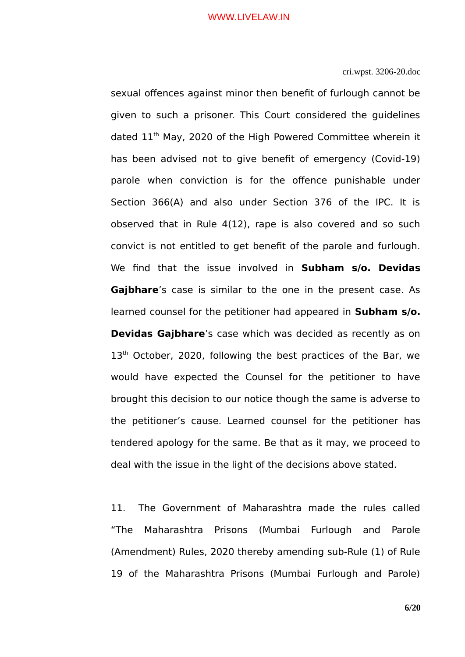sexual offences against minor then benefit of furlough cannot be given to such a prisoner. This Court considered the guidelines dated 11th May, 2020 of the High Powered Committee wherein it has been advised not to give benefit of emergency (Covid-19) parole when conviction is for the offence punishable under Section 366(A) and also under Section 376 of the IPC. It is observed that in Rule 4(12), rape is also covered and so such convict is not entitled to get beneft of the parole and furlough. We fnd that the issue involved in **Subham s/o. Devidas Gajbhare**'s case is similar to the one in the present case. As learned counsel for the petitioner had appeared in **Subham s/o. Devidas Gajbhare**'s case which was decided as recently as on 13<sup>th</sup> October, 2020, following the best practices of the Bar, we would have expected the Counsel for the petitioner to have brought this decision to our notice though the same is adverse to the petitioner's cause. Learned counsel for the petitioner has tendered apology for the same. Be that as it may, we proceed to deal with the issue in the light of the decisions above stated.

11. The Government of Maharashtra made the rules called "The Maharashtra Prisons (Mumbai Furlough and Parole (Amendment) Rules, 2020 thereby amending sub-Rule (1) of Rule 19 of the Maharashtra Prisons (Mumbai Furlough and Parole)

**6/20**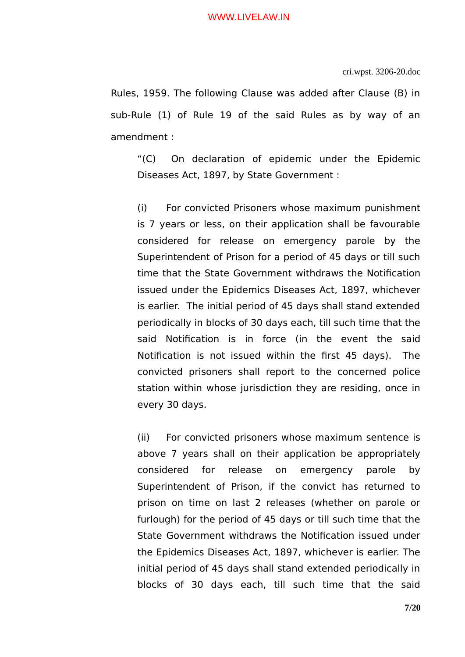Rules, 1959. The following Clause was added after Clause (B) in sub-Rule (1) of Rule 19 of the said Rules as by way of an amendment :

"(C) On declaration of epidemic under the Epidemic Diseases Act, 1897, by State Government :

(i) For convicted Prisoners whose maximum punishment is 7 years or less, on their application shall be favourable considered for release on emergency parole by the Superintendent of Prison for a period of 45 days or till such time that the State Government withdraws the Notifcation issued under the Epidemics Diseases Act, 1897, whichever is earlier. The initial period of 45 days shall stand extended periodically in blocks of 30 days each, till such time that the said Notifcation is in force (in the event the said Notifcation is not issued within the frst 45 days). The convicted prisoners shall report to the concerned police station within whose jurisdiction they are residing, once in every 30 days.

(ii) For convicted prisoners whose maximum sentence is above 7 years shall on their application be appropriately considered for release on emergency parole by Superintendent of Prison, if the convict has returned to prison on time on last 2 releases (whether on parole or furlough) for the period of 45 days or till such time that the State Government withdraws the Notifcation issued under the Epidemics Diseases Act, 1897, whichever is earlier. The initial period of 45 days shall stand extended periodically in blocks of 30 days each, till such time that the said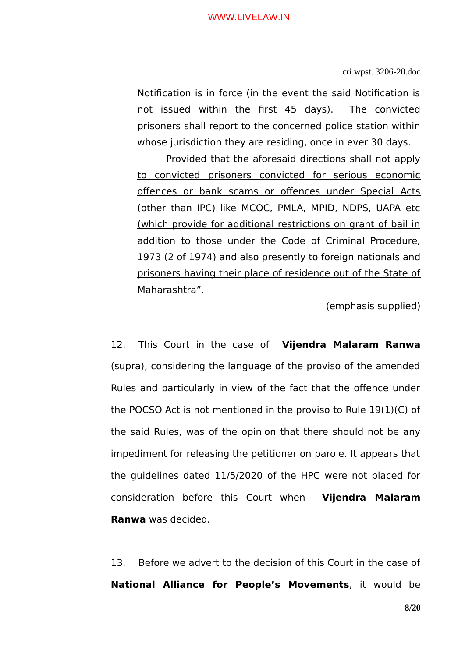cri.wpst. 3206-20.doc

Notifcation is in force (in the event the said Notifcation is not issued within the frst 45 days). The convicted prisoners shall report to the concerned police station within whose jurisdiction they are residing, once in ever 30 days.

Provided that the aforesaid directions shall not apply to convicted prisoners convicted for serious economic offences or bank scams or offences under Special Acts (other than IPC) like MCOC, PMLA, MPID, NDPS, UAPA etc (which provide for additional restrictions on grant of bail in addition to those under the Code of Criminal Procedure, 1973 (2 of 1974) and also presently to foreign nationals and prisoners having their place of residence out of the State of Maharashtra".

(emphasis supplied)

12. This Court in the case of **Vijendra Malaram Ranwa** (supra), considering the language of the proviso of the amended Rules and particularly in view of the fact that the offence under the POCSO Act is not mentioned in the proviso to Rule 19(1)(C) of the said Rules, was of the opinion that there should not be any impediment for releasing the petitioner on parole. It appears that the guidelines dated 11/5/2020 of the HPC were not placed for consideration before this Court when **Vijendra Malaram Ranwa** was decided.

13. Before we advert to the decision of this Court in the case of **National Alliance for People's Movements**, it would be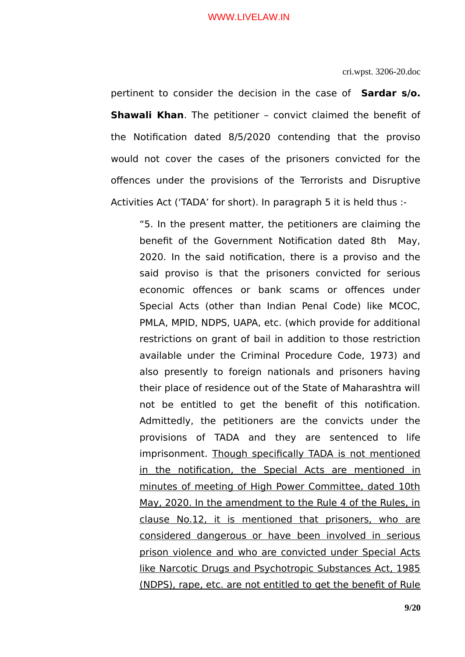pertinent to consider the decision in the case of **Sardar s/o. Shawali Khan**. The petitioner - convict claimed the benefit of the Notifcation dated 8/5/2020 contending that the proviso would not cover the cases of the prisoners convicted for the ofences under the provisions of the Terrorists and Disruptive Activities Act ('TADA' for short). In paragraph 5 it is held thus :-

"5. In the present matter, the petitioners are claiming the beneft of the Government Notifcation dated 8th May, 2020. In the said notifcation, there is a proviso and the said proviso is that the prisoners convicted for serious economic offences or bank scams or offences under Special Acts (other than Indian Penal Code) like MCOC, PMLA, MPID, NDPS, UAPA, etc. (which provide for additional restrictions on grant of bail in addition to those restriction available under the Criminal Procedure Code, 1973) and also presently to foreign nationals and prisoners having their place of residence out of the State of Maharashtra will not be entitled to get the beneft of this notifcation. Admittedly, the petitioners are the convicts under the provisions of TADA and they are sentenced to life imprisonment. Though specifically TADA is not mentioned in the notifcation, the Special Acts are mentioned in minutes of meeting of High Power Committee, dated 10th May, 2020. In the amendment to the Rule 4 of the Rules, in clause No.12, it is mentioned that prisoners, who are considered dangerous or have been involved in serious prison violence and who are convicted under Special Acts like Narcotic Drugs and Psychotropic Substances Act, 1985 (NDPS), rape, etc. are not entitled to get the beneft of Rule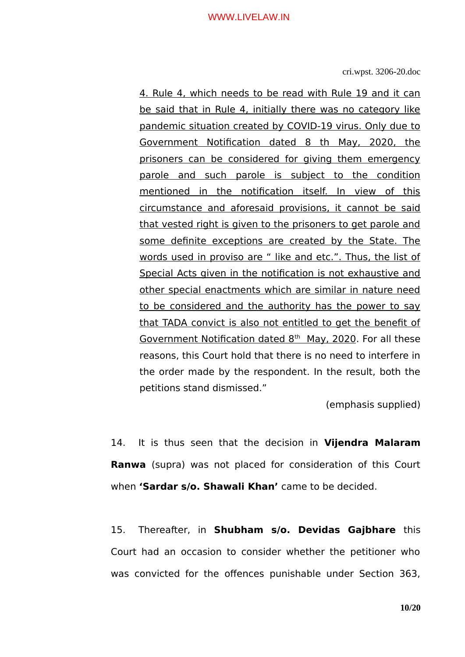cri.wpst. 3206-20.doc

4. Rule 4, which needs to be read with Rule 19 and it can be said that in Rule 4, initially there was no category like pandemic situation created by COVID-19 virus. Only due to Government Notifcation dated 8 th May, 2020, the prisoners can be considered for giving them emergency parole and such parole is subject to the condition mentioned in the notification itself. In view of this circumstance and aforesaid provisions, it cannot be said that vested right is given to the prisoners to get parole and some definite exceptions are created by the State. The words used in proviso are " like and etc.". Thus, the list of Special Acts given in the notifcation is not exhaustive and other special enactments which are similar in nature need to be considered and the authority has the power to say that TADA convict is also not entitled to get the beneft of Government Notification dated 8<sup>th</sup> May, 2020. For all these reasons, this Court hold that there is no need to interfere in the order made by the respondent. In the result, both the petitions stand dismissed."

(emphasis supplied)

14. It is thus seen that the decision in **Vijendra Malaram Ranwa** (supra) was not placed for consideration of this Court when **'Sardar s/o. Shawali Khan'** came to be decided.

15. Thereafter, in **Shubham s/o. Devidas Gajbhare** this Court had an occasion to consider whether the petitioner who was convicted for the offences punishable under Section 363,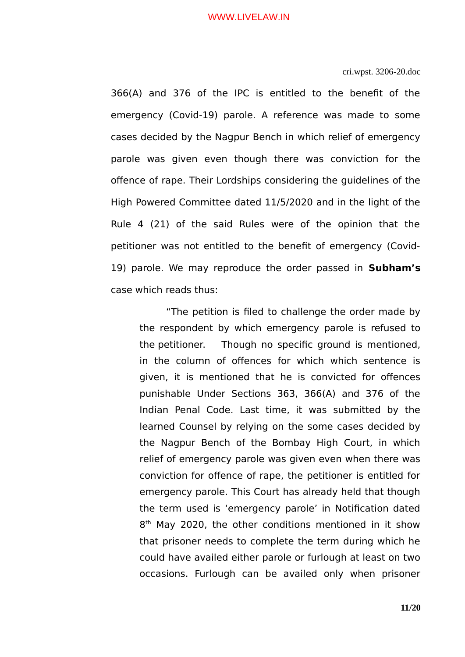366(A) and 376 of the IPC is entitled to the beneft of the emergency (Covid-19) parole. A reference was made to some cases decided by the Nagpur Bench in which relief of emergency parole was given even though there was conviction for the ofence of rape. Their Lordships considering the guidelines of the High Powered Committee dated 11/5/2020 and in the light of the Rule 4 (21) of the said Rules were of the opinion that the petitioner was not entitled to the beneft of emergency (Covid-19) parole. We may reproduce the order passed in **Subham's** case which reads thus:

"The petition is fled to challenge the order made by the respondent by which emergency parole is refused to the petitioner. Though no specifc ground is mentioned, in the column of ofences for which which sentence is given, it is mentioned that he is convicted for ofences punishable Under Sections 363, 366(A) and 376 of the Indian Penal Code. Last time, it was submitted by the learned Counsel by relying on the some cases decided by the Nagpur Bench of the Bombay High Court, in which relief of emergency parole was given even when there was conviction for ofence of rape, the petitioner is entitled for emergency parole. This Court has already held that though the term used is 'emergency parole' in Notifcation dated 8<sup>th</sup> May 2020, the other conditions mentioned in it show that prisoner needs to complete the term during which he could have availed either parole or furlough at least on two occasions. Furlough can be availed only when prisoner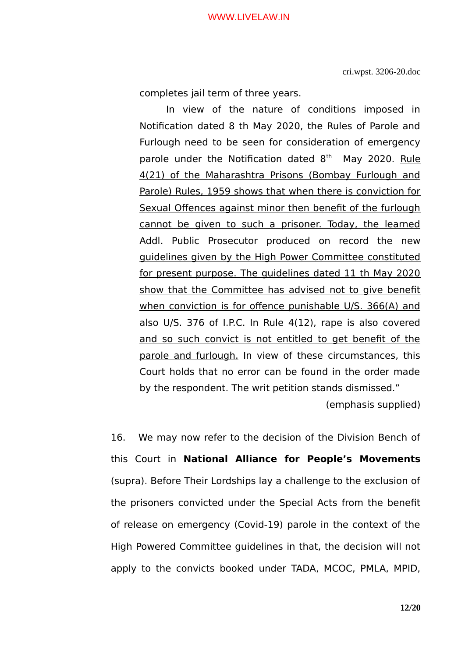completes jail term of three years.

In view of the nature of conditions imposed in Notifcation dated 8 th May 2020, the Rules of Parole and Furlough need to be seen for consideration of emergency parole under the Notification dated 8<sup>th</sup> May 2020. Rule 4(21) of the Maharashtra Prisons (Bombay Furlough and Parole) Rules, 1959 shows that when there is conviction for Sexual Offences against minor then benefit of the furlough cannot be given to such a prisoner. Today, the learned Addl. Public Prosecutor produced on record the new guidelines given by the High Power Committee constituted for present purpose. The guidelines dated 11 th May 2020 show that the Committee has advised not to give beneft when conviction is for offence punishable U/S. 366(A) and also U/S. 376 of I.P.C. In Rule 4(12), rape is also covered and so such convict is not entitled to get beneft of the parole and furlough. In view of these circumstances, this Court holds that no error can be found in the order made by the respondent. The writ petition stands dismissed."

(emphasis supplied)

16. We may now refer to the decision of the Division Bench of this Court in **National Alliance for People's Movements** (supra). Before Their Lordships lay a challenge to the exclusion of the prisoners convicted under the Special Acts from the beneft of release on emergency (Covid-19) parole in the context of the High Powered Committee guidelines in that, the decision will not apply to the convicts booked under TADA, MCOC, PMLA, MPID,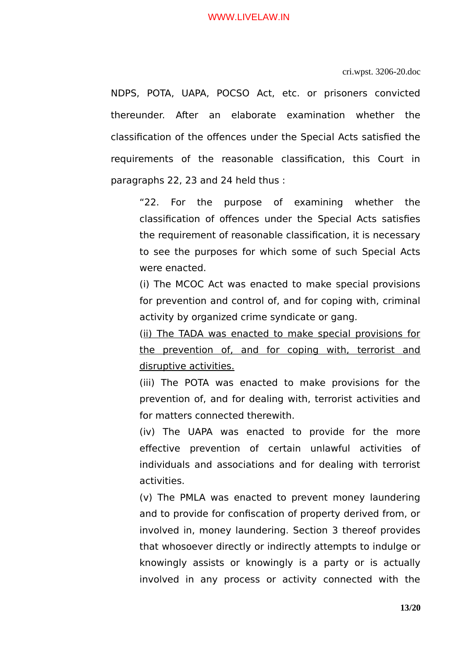NDPS, POTA, UAPA, POCSO Act, etc. or prisoners convicted thereunder. After an elaborate examination whether the classifcation of the ofences under the Special Acts satisfed the requirements of the reasonable classifcation, this Court in paragraphs 22, 23 and 24 held thus :

"22. For the purpose of examining whether the classifcation of ofences under the Special Acts satisfes the requirement of reasonable classifcation, it is necessary to see the purposes for which some of such Special Acts were enacted.

(i) The MCOC Act was enacted to make special provisions for prevention and control of, and for coping with, criminal activity by organized crime syndicate or gang.

(ii) The TADA was enacted to make special provisions for the prevention of, and for coping with, terrorist and disruptive activities.

(iii) The POTA was enacted to make provisions for the prevention of, and for dealing with, terrorist activities and for matters connected therewith.

(iv) The UAPA was enacted to provide for the more efective prevention of certain unlawful activities of individuals and associations and for dealing with terrorist activities.

(v) The PMLA was enacted to prevent money laundering and to provide for confscation of property derived from, or involved in, money laundering. Section 3 thereof provides that whosoever directly or indirectly attempts to indulge or knowingly assists or knowingly is a party or is actually involved in any process or activity connected with the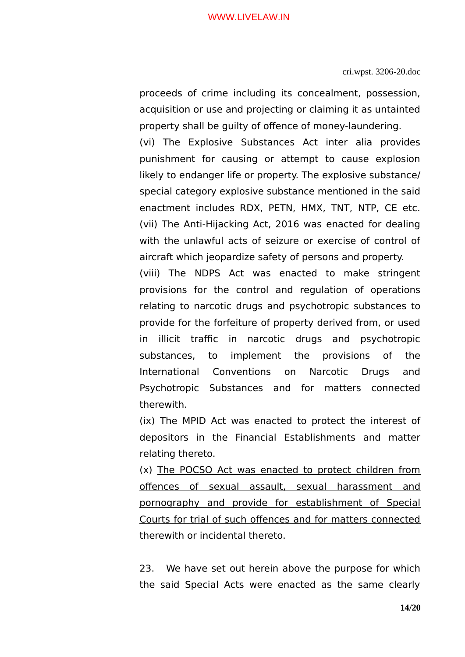proceeds of crime including its concealment, possession, acquisition or use and projecting or claiming it as untainted property shall be quilty of offence of money-laundering. (vi) The Explosive Substances Act inter alia provides punishment for causing or attempt to cause explosion likely to endanger life or property. The explosive substance/ special category explosive substance mentioned in the said enactment includes RDX, PETN, HMX, TNT, NTP, CE etc. (vii) The Anti-Hijacking Act, 2016 was enacted for dealing with the unlawful acts of seizure or exercise of control of aircraft which jeopardize safety of persons and property. (viii) The NDPS Act was enacted to make stringent provisions for the control and regulation of operations relating to narcotic drugs and psychotropic substances to provide for the forfeiture of property derived from, or used

in illicit traffic in narcotic drugs and psychotropic substances, to implement the provisions of the International Conventions on Narcotic Drugs and Psychotropic Substances and for matters connected therewith.

(ix) The MPID Act was enacted to protect the interest of depositors in the Financial Establishments and matter relating thereto.

(x) The POCSO Act was enacted to protect children from offences of sexual assault, sexual harassment and pornography and provide for establishment of Special Courts for trial of such offences and for matters connected therewith or incidental thereto.

23. We have set out herein above the purpose for which the said Special Acts were enacted as the same clearly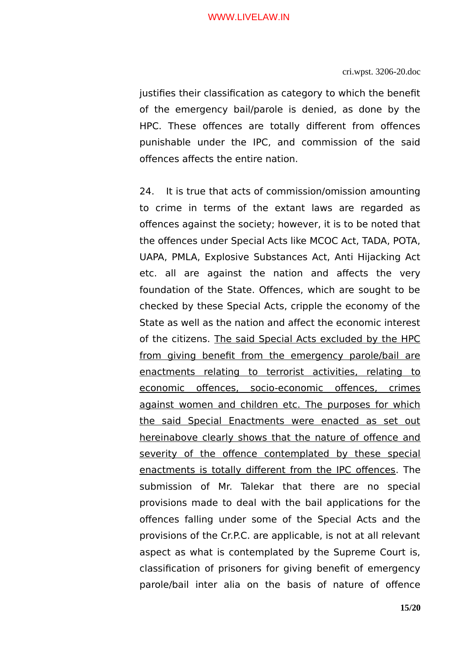justifies their classification as category to which the benefit of the emergency bail/parole is denied, as done by the HPC. These offences are totally different from offences punishable under the IPC, and commission of the said ofences afects the entire nation.

24. It is true that acts of commission/omission amounting to crime in terms of the extant laws are regarded as offences against the society; however, it is to be noted that the offences under Special Acts like MCOC Act, TADA, POTA, UAPA, PMLA, Explosive Substances Act, Anti Hijacking Act etc. all are against the nation and afects the very foundation of the State. Offences, which are sought to be checked by these Special Acts, cripple the economy of the State as well as the nation and afect the economic interest of the citizens. The said Special Acts excluded by the HPC from giving beneft from the emergency parole/bail are enactments relating to terrorist activities, relating to economic offences, socio-economic offences, crimes against women and children etc. The purposes for which the said Special Enactments were enacted as set out hereinabove clearly shows that the nature of offence and severity of the offence contemplated by these special enactments is totally different from the IPC offences. The submission of Mr. Talekar that there are no special provisions made to deal with the bail applications for the ofences falling under some of the Special Acts and the provisions of the Cr.P.C. are applicable, is not at all relevant aspect as what is contemplated by the Supreme Court is, classifcation of prisoners for giving beneft of emergency parole/bail inter alia on the basis of nature of ofence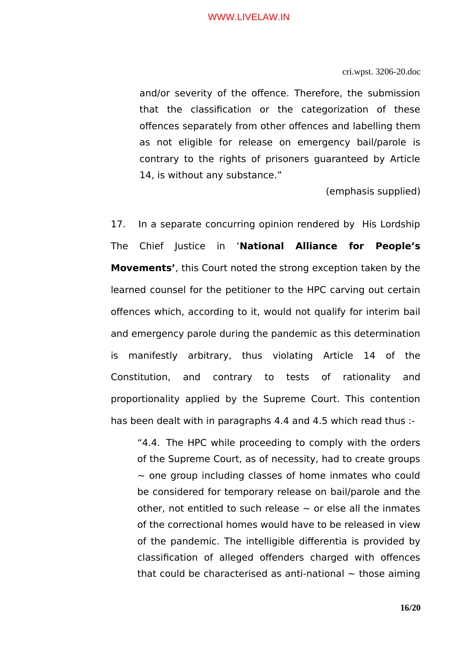and/or severity of the offence. Therefore, the submission that the classifcation or the categorization of these offences separately from other offences and labelling them as not eligible for release on emergency bail/parole is contrary to the rights of prisoners guaranteed by Article 14, is without any substance."

(emphasis supplied)

17. In a separate concurring opinion rendered by His Lordship The Chief Justice in '**National Alliance for People's Movements'**, this Court noted the strong exception taken by the learned counsel for the petitioner to the HPC carving out certain ofences which, according to it, would not qualify for interim bail and emergency parole during the pandemic as this determination is manifestly arbitrary, thus violating Article 14 of the Constitution, and contrary to tests of rationality and proportionality applied by the Supreme Court. This contention has been dealt with in paragraphs 4.4 and 4.5 which read thus :-

"4.4. The HPC while proceeding to comply with the orders of the Supreme Court, as of necessity, had to create groups  $\sim$  one group including classes of home inmates who could be considered for temporary release on bail/parole and the other, not entitled to such release  $\sim$  or else all the inmates of the correctional homes would have to be released in view of the pandemic. The intelligible diferentia is provided by classification of alleged offenders charged with offences that could be characterised as anti-national  $\sim$  those aiming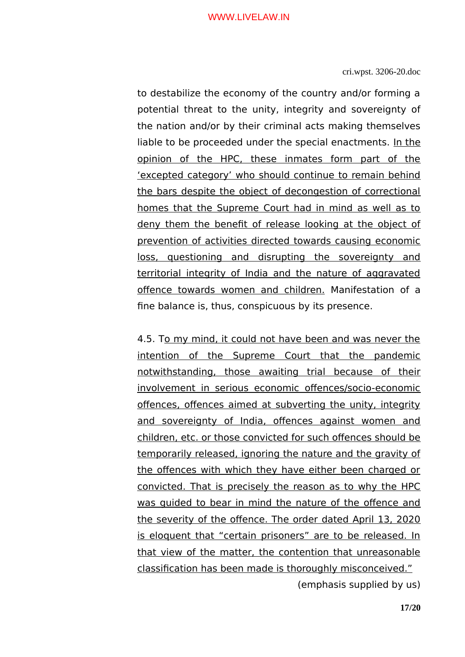to destabilize the economy of the country and/or forming a potential threat to the unity, integrity and sovereignty of the nation and/or by their criminal acts making themselves liable to be proceeded under the special enactments. In the opinion of the HPC, these inmates form part of the 'excepted category' who should continue to remain behind the bars despite the object of decongestion of correctional homes that the Supreme Court had in mind as well as to deny them the benefit of release looking at the object of prevention of activities directed towards causing economic loss, questioning and disrupting the sovereignty and territorial integrity of India and the nature of aggravated offence towards women and children. Manifestation of a fine balance is, thus, conspicuous by its presence.

4.5. To my mind, it could not have been and was never the intention of the Supreme Court that the pandemic notwithstanding, those awaiting trial because of their involvement in serious economic ofences/socio-economic offences, offences aimed at subverting the unity, integrity and sovereignty of India, offences against women and children, etc. or those convicted for such ofences should be temporarily released, ignoring the nature and the gravity of the offences with which they have either been charged or convicted. That is precisely the reason as to why the HPC was quided to bear in mind the nature of the offence and the severity of the offence. The order dated April 13, 2020 is eloquent that "certain prisoners" are to be released. In that view of the matter, the contention that unreasonable classifcation has been made is thoroughly misconceived." (emphasis supplied by us)

**17/20**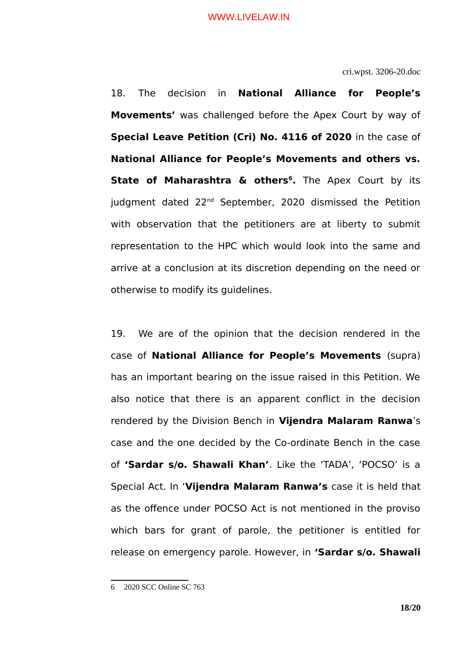18. The decision in **National Alliance for People's Movements'** was challenged before the Apex Court by way of **Special Leave Petition (Cri) No. 4116 of 2020** in the case of **National Alliance for People's Movements and others vs. State of Maharashtra & others[6](#page-17-0) .** The Apex Court by its judgment dated 22<sup>nd</sup> September, 2020 dismissed the Petition with observation that the petitioners are at liberty to submit representation to the HPC which would look into the same and arrive at a conclusion at its discretion depending on the need or otherwise to modify its guidelines.

19. We are of the opinion that the decision rendered in the case of **National Alliance for People's Movements** (supra) has an important bearing on the issue raised in this Petition. We also notice that there is an apparent confict in the decision rendered by the Division Bench in **Vijendra Malaram Ranwa**'s case and the one decided by the Co-ordinate Bench in the case of **'Sardar s/o. Shawali Khan'**. Like the 'TADA', 'POCSO' is a Special Act. In '**Vijendra Malaram Ranwa's** case it is held that as the offence under POCSO Act is not mentioned in the proviso which bars for grant of parole, the petitioner is entitled for release on emergency parole. However, in **'Sardar s/o. Shawali**

<span id="page-17-0"></span><sup>6</sup> 2020 SCC Online SC 763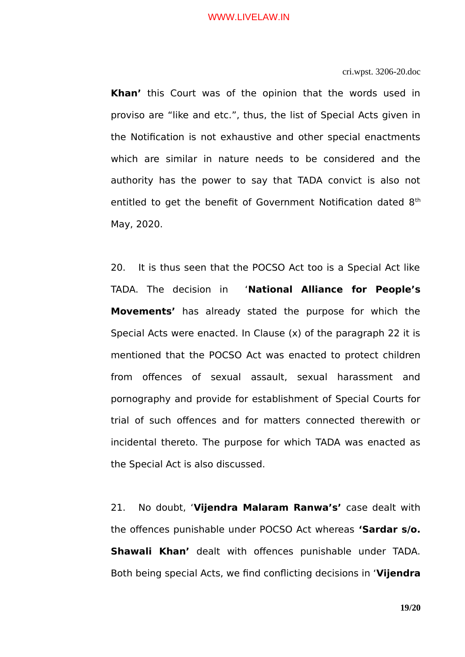**Khan'** this Court was of the opinion that the words used in proviso are "like and etc.", thus, the list of Special Acts given in the Notifcation is not exhaustive and other special enactments which are similar in nature needs to be considered and the authority has the power to say that TADA convict is also not entitled to get the benefit of Government Notification dated 8<sup>th</sup> May, 2020.

20. It is thus seen that the POCSO Act too is a Special Act like TADA. The decision in '**National Alliance for People's Movements'** has already stated the purpose for which the Special Acts were enacted. In Clause (x) of the paragraph 22 it is mentioned that the POCSO Act was enacted to protect children from ofences of sexual assault, sexual harassment and pornography and provide for establishment of Special Courts for trial of such ofences and for matters connected therewith or incidental thereto. The purpose for which TADA was enacted as the Special Act is also discussed.

21. No doubt, '**Vijendra Malaram Ranwa's'** case dealt with the ofences punishable under POCSO Act whereas **'Sardar s/o. Shawali Khan'** dealt with ofences punishable under TADA. Both being special Acts, we fnd conficting decisions in '**Vijendra**